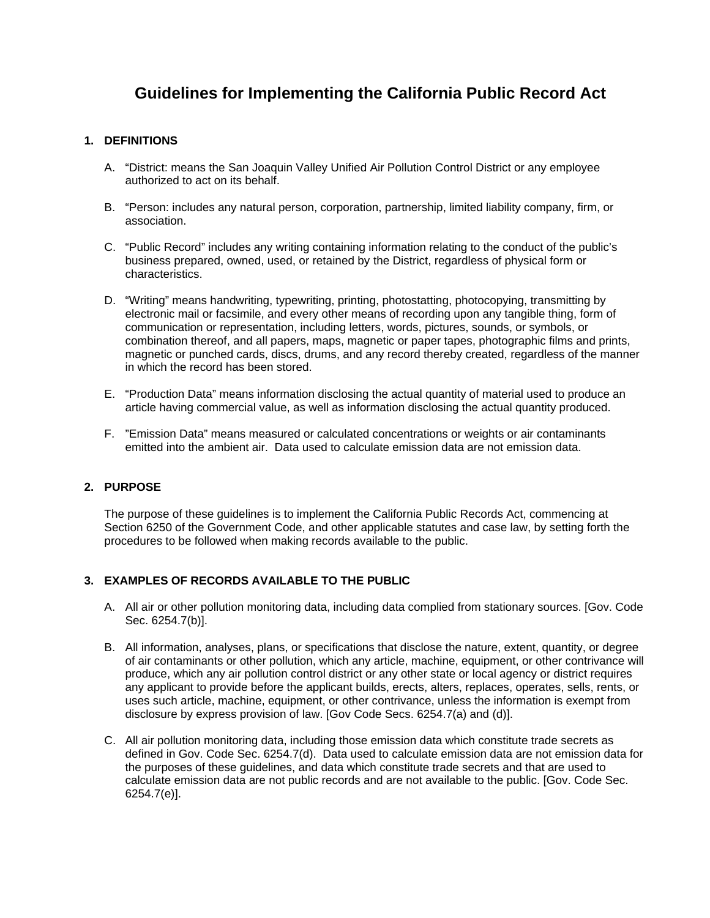# **Guidelines for Implementing the California Public Record Act**

## **1. DEFINITIONS**

- A. "District: means the San Joaquin Valley Unified Air Pollution Control District or any employee authorized to act on its behalf.
- B. "Person: includes any natural person, corporation, partnership, limited liability company, firm, or association.
- C. "Public Record" includes any writing containing information relating to the conduct of the public's business prepared, owned, used, or retained by the District, regardless of physical form or characteristics.
- D. "Writing" means handwriting, typewriting, printing, photostatting, photocopying, transmitting by electronic mail or facsimile, and every other means of recording upon any tangible thing, form of communication or representation, including letters, words, pictures, sounds, or symbols, or combination thereof, and all papers, maps, magnetic or paper tapes, photographic films and prints, magnetic or punched cards, discs, drums, and any record thereby created, regardless of the manner in which the record has been stored.
- E. "Production Data" means information disclosing the actual quantity of material used to produce an article having commercial value, as well as information disclosing the actual quantity produced.
- F. "Emission Data" means measured or calculated concentrations or weights or air contaminants emitted into the ambient air. Data used to calculate emission data are not emission data.

#### **2. PURPOSE**

The purpose of these guidelines is to implement the California Public Records Act, commencing at Section 6250 of the Government Code, and other applicable statutes and case law, by setting forth the procedures to be followed when making records available to the public.

#### **3. EXAMPLES OF RECORDS AVAILABLE TO THE PUBLIC**

- A. All air or other pollution monitoring data, including data complied from stationary sources. [Gov. Code Sec. 6254.7(b)].
- B. All information, analyses, plans, or specifications that disclose the nature, extent, quantity, or degree of air contaminants or other pollution, which any article, machine, equipment, or other contrivance will produce, which any air pollution control district or any other state or local agency or district requires any applicant to provide before the applicant builds, erects, alters, replaces, operates, sells, rents, or uses such article, machine, equipment, or other contrivance, unless the information is exempt from disclosure by express provision of law. [Gov Code Secs. 6254.7(a) and (d)].
- C. All air pollution monitoring data, including those emission data which constitute trade secrets as defined in Gov. Code Sec. 6254.7(d). Data used to calculate emission data are not emission data for the purposes of these guidelines, and data which constitute trade secrets and that are used to calculate emission data are not public records and are not available to the public. [Gov. Code Sec. 6254.7(e)].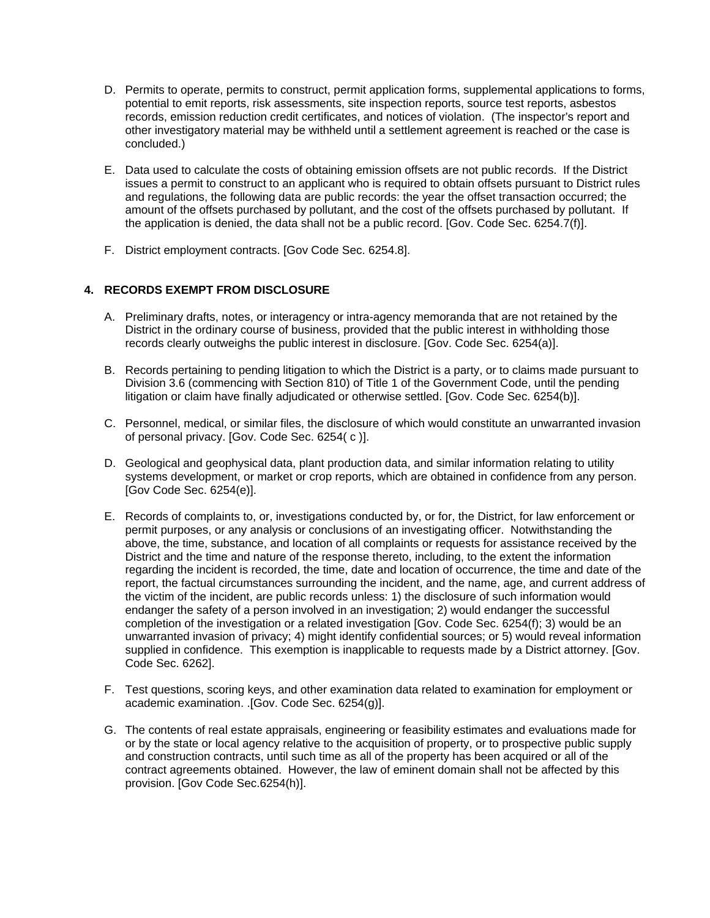- D. Permits to operate, permits to construct, permit application forms, supplemental applications to forms, potential to emit reports, risk assessments, site inspection reports, source test reports, asbestos records, emission reduction credit certificates, and notices of violation. (The inspector's report and other investigatory material may be withheld until a settlement agreement is reached or the case is concluded.)
- E. Data used to calculate the costs of obtaining emission offsets are not public records. If the District issues a permit to construct to an applicant who is required to obtain offsets pursuant to District rules and regulations, the following data are public records: the year the offset transaction occurred; the amount of the offsets purchased by pollutant, and the cost of the offsets purchased by pollutant. If the application is denied, the data shall not be a public record. [Gov. Code Sec. 6254.7(f)].
- F. District employment contracts. [Gov Code Sec. 6254.8].

## **4. RECORDS EXEMPT FROM DISCLOSURE**

- A. Preliminary drafts, notes, or interagency or intra-agency memoranda that are not retained by the District in the ordinary course of business, provided that the public interest in withholding those records clearly outweighs the public interest in disclosure. [Gov. Code Sec. 6254(a)].
- B. Records pertaining to pending litigation to which the District is a party, or to claims made pursuant to Division 3.6 (commencing with Section 810) of Title 1 of the Government Code, until the pending litigation or claim have finally adjudicated or otherwise settled. [Gov. Code Sec. 6254(b)].
- C. Personnel, medical, or similar files, the disclosure of which would constitute an unwarranted invasion of personal privacy. [Gov. Code Sec. 6254( c )].
- D. Geological and geophysical data, plant production data, and similar information relating to utility systems development, or market or crop reports, which are obtained in confidence from any person. [Gov Code Sec. 6254(e)].
- E. Records of complaints to, or, investigations conducted by, or for, the District, for law enforcement or permit purposes, or any analysis or conclusions of an investigating officer. Notwithstanding the above, the time, substance, and location of all complaints or requests for assistance received by the District and the time and nature of the response thereto, including, to the extent the information regarding the incident is recorded, the time, date and location of occurrence, the time and date of the report, the factual circumstances surrounding the incident, and the name, age, and current address of the victim of the incident, are public records unless: 1) the disclosure of such information would endanger the safety of a person involved in an investigation; 2) would endanger the successful completion of the investigation or a related investigation [Gov. Code Sec. 6254(f); 3) would be an unwarranted invasion of privacy; 4) might identify confidential sources; or 5) would reveal information supplied in confidence. This exemption is inapplicable to requests made by a District attorney. [Gov. Code Sec. 6262].
- F. Test questions, scoring keys, and other examination data related to examination for employment or academic examination. .[Gov. Code Sec. 6254(g)].
- G. The contents of real estate appraisals, engineering or feasibility estimates and evaluations made for or by the state or local agency relative to the acquisition of property, or to prospective public supply and construction contracts, until such time as all of the property has been acquired or all of the contract agreements obtained. However, the law of eminent domain shall not be affected by this provision. [Gov Code Sec.6254(h)].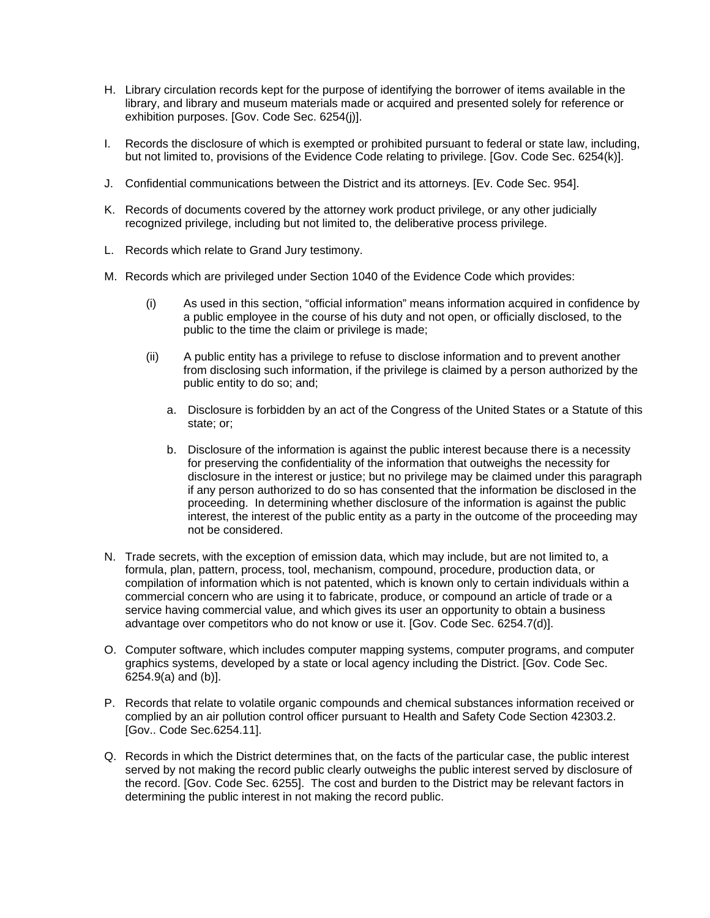- H. Library circulation records kept for the purpose of identifying the borrower of items available in the library, and library and museum materials made or acquired and presented solely for reference or exhibition purposes. [Gov. Code Sec. 6254(j)].
- I. Records the disclosure of which is exempted or prohibited pursuant to federal or state law, including, but not limited to, provisions of the Evidence Code relating to privilege. [Gov. Code Sec. 6254(k)].
- J. Confidential communications between the District and its attorneys. [Ev. Code Sec. 954].
- K. Records of documents covered by the attorney work product privilege, or any other judicially recognized privilege, including but not limited to, the deliberative process privilege.
- L. Records which relate to Grand Jury testimony.
- M. Records which are privileged under Section 1040 of the Evidence Code which provides:
	- (i) As used in this section, "official information" means information acquired in confidence by a public employee in the course of his duty and not open, or officially disclosed, to the public to the time the claim or privilege is made;
	- (ii) A public entity has a privilege to refuse to disclose information and to prevent another from disclosing such information, if the privilege is claimed by a person authorized by the public entity to do so; and;
		- a. Disclosure is forbidden by an act of the Congress of the United States or a Statute of this state; or;
		- b. Disclosure of the information is against the public interest because there is a necessity for preserving the confidentiality of the information that outweighs the necessity for disclosure in the interest or justice; but no privilege may be claimed under this paragraph if any person authorized to do so has consented that the information be disclosed in the proceeding. In determining whether disclosure of the information is against the public interest, the interest of the public entity as a party in the outcome of the proceeding may not be considered.
- N. Trade secrets, with the exception of emission data, which may include, but are not limited to, a formula, plan, pattern, process, tool, mechanism, compound, procedure, production data, or compilation of information which is not patented, which is known only to certain individuals within a commercial concern who are using it to fabricate, produce, or compound an article of trade or a service having commercial value, and which gives its user an opportunity to obtain a business advantage over competitors who do not know or use it. [Gov. Code Sec. 6254.7(d)].
- O. Computer software, which includes computer mapping systems, computer programs, and computer graphics systems, developed by a state or local agency including the District. [Gov. Code Sec. 6254.9(a) and (b)].
- P. Records that relate to volatile organic compounds and chemical substances information received or complied by an air pollution control officer pursuant to Health and Safety Code Section 42303.2. [Gov.. Code Sec.6254.11].
- Q. Records in which the District determines that, on the facts of the particular case, the public interest served by not making the record public clearly outweighs the public interest served by disclosure of the record. [Gov. Code Sec. 6255]. The cost and burden to the District may be relevant factors in determining the public interest in not making the record public.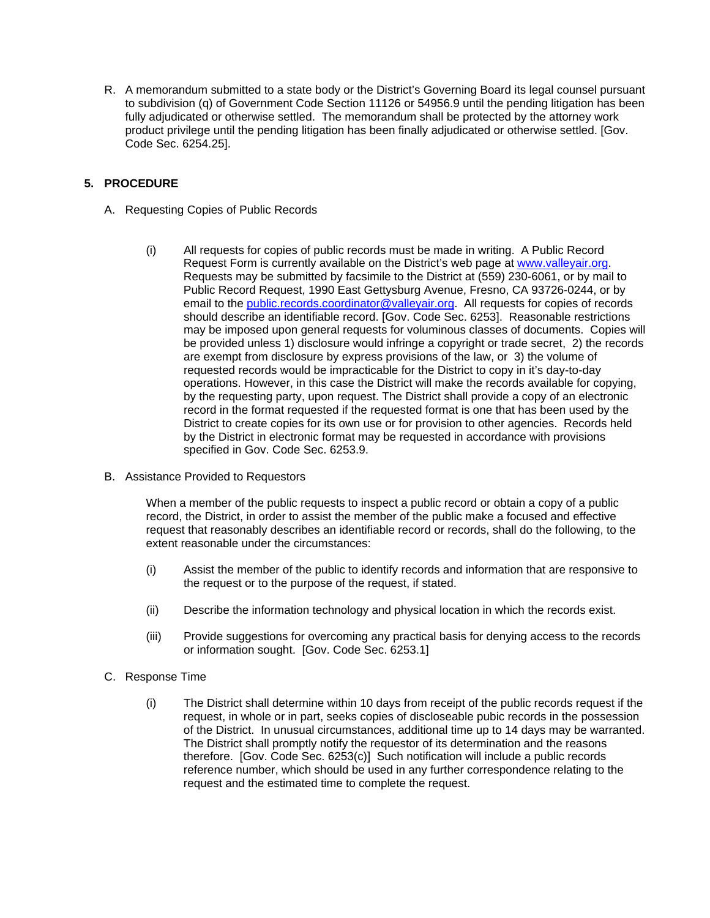R. A memorandum submitted to a state body or the District's Governing Board its legal counsel pursuant to subdivision (q) of Government Code Section 11126 or 54956.9 until the pending litigation has been fully adjudicated or otherwise settled. The memorandum shall be protected by the attorney work product privilege until the pending litigation has been finally adjudicated or otherwise settled. [Gov. Code Sec. 6254.25].

## **5. PROCEDURE**

- A. Requesting Copies of Public Records
	- (i) All requests for copies of public records must be made in writing. A Public Record Request Form is currently available on the District's web page at [www.valleyair.org.](http://www.valleyair.org/) Requests may be submitted by facsimile to the District at (559) 230-6061, or by mail to Public Record Request, 1990 East Gettysburg Avenue, Fresno, CA 93726-0244, or by email to the [public.records.coordinator@valleyair.org.](mailto:public.records.coordinator@valleyair.org) All requests for copies of records should describe an identifiable record. [Gov. Code Sec. 6253]. Reasonable restrictions may be imposed upon general requests for voluminous classes of documents. Copies will be provided unless 1) disclosure would infringe a copyright or trade secret, 2) the records are exempt from disclosure by express provisions of the law, or 3) the volume of requested records would be impracticable for the District to copy in it's day-to-day operations. However, in this case the District will make the records available for copying, by the requesting party, upon request. The District shall provide a copy of an electronic record in the format requested if the requested format is one that has been used by the District to create copies for its own use or for provision to other agencies. Records held by the District in electronic format may be requested in accordance with provisions specified in Gov. Code Sec. 6253.9.
- B. Assistance Provided to Requestors

When a member of the public requests to inspect a public record or obtain a copy of a public record, the District, in order to assist the member of the public make a focused and effective request that reasonably describes an identifiable record or records, shall do the following, to the extent reasonable under the circumstances:

- (i) Assist the member of the public to identify records and information that are responsive to the request or to the purpose of the request, if stated.
- (ii) Describe the information technology and physical location in which the records exist.
- (iii) Provide suggestions for overcoming any practical basis for denying access to the records or information sought. [Gov. Code Sec. 6253.1]
- C. Response Time
	- (i) The District shall determine within 10 days from receipt of the public records request if the request, in whole or in part, seeks copies of discloseable pubic records in the possession of the District. In unusual circumstances, additional time up to 14 days may be warranted. The District shall promptly notify the requestor of its determination and the reasons therefore. [Gov. Code Sec. 6253(c)] Such notification will include a public records reference number, which should be used in any further correspondence relating to the request and the estimated time to complete the request.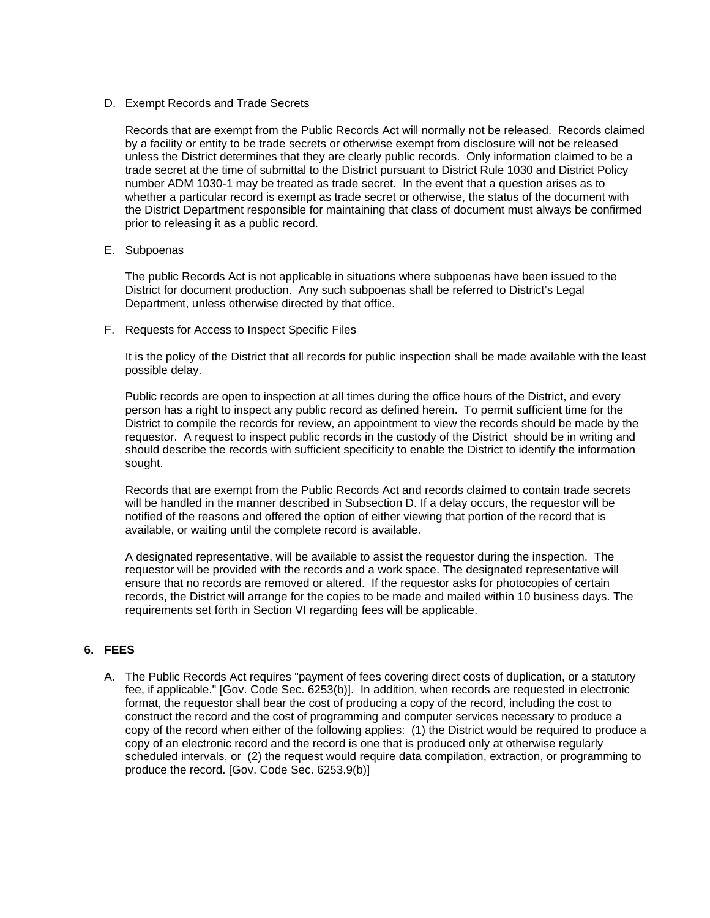D. Exempt Records and Trade Secrets

Records that are exempt from the Public Records Act will normally not be released. Records claimed by a facility or entity to be trade secrets or otherwise exempt from disclosure will not be released unless the District determines that they are clearly public records. Only information claimed to be a trade secret at the time of submittal to the District pursuant to District Rule 1030 and District Policy number ADM 1030-1 may be treated as trade secret. In the event that a question arises as to whether a particular record is exempt as trade secret or otherwise, the status of the document with the District Department responsible for maintaining that class of document must always be confirmed prior to releasing it as a public record.

E. Subpoenas

The public Records Act is not applicable in situations where subpoenas have been issued to the District for document production. Any such subpoenas shall be referred to District's Legal Department, unless otherwise directed by that office.

F. Requests for Access to Inspect Specific Files

It is the policy of the District that all records for public inspection shall be made available with the least possible delay.

Public records are open to inspection at all times during the office hours of the District, and every person has a right to inspect any public record as defined herein. To permit sufficient time for the District to compile the records for review, an appointment to view the records should be made by the requestor. A request to inspect public records in the custody of the District should be in writing and should describe the records with sufficient specificity to enable the District to identify the information sought.

Records that are exempt from the Public Records Act and records claimed to contain trade secrets will be handled in the manner described in Subsection D. If a delay occurs, the requestor will be notified of the reasons and offered the option of either viewing that portion of the record that is available, or waiting until the complete record is available.

A designated representative, will be available to assist the requestor during the inspection. The requestor will be provided with the records and a work space. The designated representative will ensure that no records are removed or altered. If the requestor asks for photocopies of certain records, the District will arrange for the copies to be made and mailed within 10 business days. The requirements set forth in Section VI regarding fees will be applicable.

#### **6. FEES**

A. The Public Records Act requires "payment of fees covering direct costs of duplication, or a statutory fee, if applicable." [Gov. Code Sec. 6253(b)]. In addition, when records are requested in electronic format, the requestor shall bear the cost of producing a copy of the record, including the cost to construct the record and the cost of programming and computer services necessary to produce a copy of the record when either of the following applies: (1) the District would be required to produce a copy of an electronic record and the record is one that is produced only at otherwise regularly scheduled intervals, or (2) the request would require data compilation, extraction, or programming to produce the record. [Gov. Code Sec. 6253.9(b)]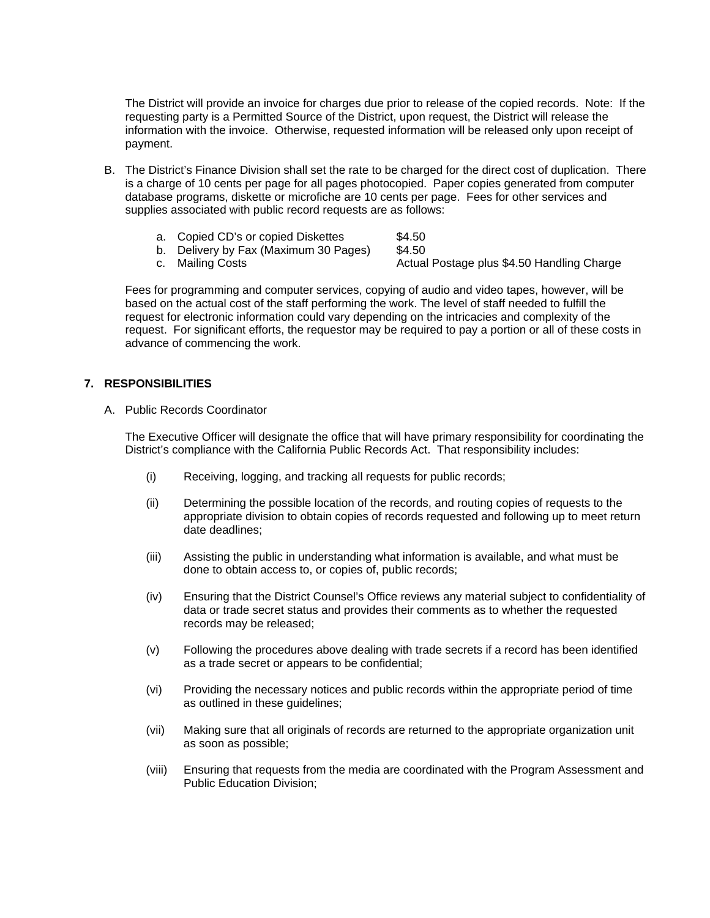The District will provide an invoice for charges due prior to release of the copied records. Note: If the requesting party is a Permitted Source of the District, upon request, the District will release the information with the invoice. Otherwise, requested information will be released only upon receipt of payment.

- B. The District's Finance Division shall set the rate to be charged for the direct cost of duplication. There is a charge of 10 cents per page for all pages photocopied. Paper copies generated from computer database programs, diskette or microfiche are 10 cents per page. Fees for other services and supplies associated with public record requests are as follows:
	- a. Copied CD's or copied Diskettes \$4.50
	- b. Delivery by Fax (Maximum 30 Pages) \$4.50
		-
	- c. Mailing Costs **Actual Postage plus \$4.50 Handling Charge**

Fees for programming and computer services, copying of audio and video tapes, however, will be based on the actual cost of the staff performing the work. The level of staff needed to fulfill the request for electronic information could vary depending on the intricacies and complexity of the request. For significant efforts, the requestor may be required to pay a portion or all of these costs in advance of commencing the work.

#### **7. RESPONSIBILITIES**

A. Public Records Coordinator

The Executive Officer will designate the office that will have primary responsibility for coordinating the District's compliance with the California Public Records Act. That responsibility includes:

- (i) Receiving, logging, and tracking all requests for public records;
- (ii) Determining the possible location of the records, and routing copies of requests to the appropriate division to obtain copies of records requested and following up to meet return date deadlines;
- (iii) Assisting the public in understanding what information is available, and what must be done to obtain access to, or copies of, public records;
- (iv) Ensuring that the District Counsel's Office reviews any material subject to confidentiality of data or trade secret status and provides their comments as to whether the requested records may be released;
- (v) Following the procedures above dealing with trade secrets if a record has been identified as a trade secret or appears to be confidential;
- (vi) Providing the necessary notices and public records within the appropriate period of time as outlined in these guidelines;
- (vii) Making sure that all originals of records are returned to the appropriate organization unit as soon as possible;
- (viii) Ensuring that requests from the media are coordinated with the Program Assessment and Public Education Division;